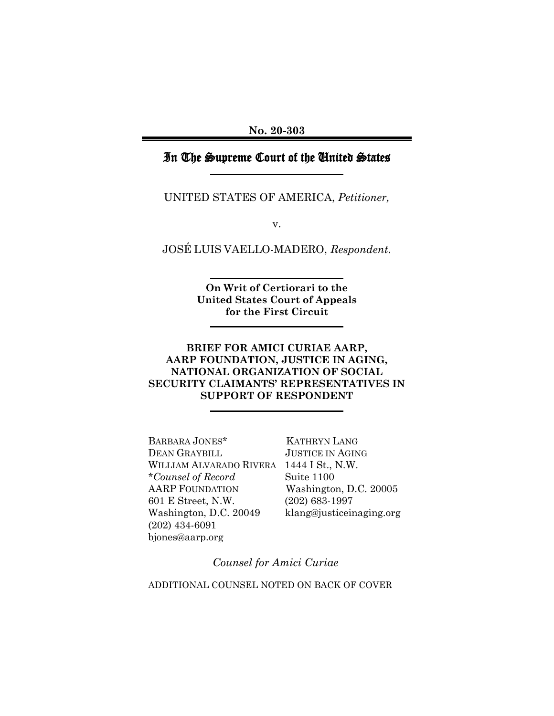## In The Supreme Court of the United States

UNITED STATES OF AMERICA, *Petitioner,*

v.

JOSÉ LUIS VAELLO-MADERO, *Respondent.*

**On Writ of Certiorari to the United States Court of Appeals for the First Circuit**

### **BRIEF FOR AMICI CURIAE AARP, AARP FOUNDATION, JUSTICE IN AGING, NATIONAL ORGANIZATION OF SOCIAL SECURITY CLAIMANTS' REPRESENTATIVES IN SUPPORT OF RESPONDENT**

BARBARA JONES\* KATHRYN LANG DEAN GRAYBILL JUSTICE IN AGING WILLIAM ALVARADO RIVERA 1444 I St., N.W. \**Counsel of Record* Suite 1100 AARP FOUNDATION Washington, D.C. 20005 601 E Street, N.W. (202) 683-1997 Washington, D.C. 20049 klang@justiceinaging.org (202) 434-6091 [bjones@aarp.org](mailto:bjones@aarp.org) 

*Counsel for Amici Curiae*

ADDITIONAL COUNSEL NOTED ON BACK OF COVER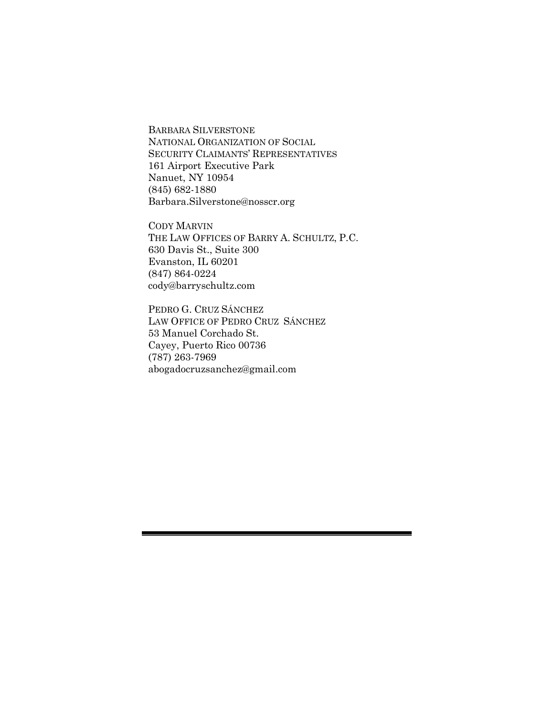BARBARA SILVERSTONE NATIONAL ORGANIZATION OF SOCIAL SECURITY CLAIMANTS' REPRESENTATIVES 161 Airport Executive Park Nanuet, NY 10954 (845) 682-1880 Barbara.Silverstone@nosscr.org

CODY MARVIN THE LAW OFFICES OF BARRY A. SCHULTZ, P.C. 630 Davis St., Suite 300 Evanston, IL 60201 (847) 864-0224 [cody@barryschultz.com](mailto:cody@barryschultz.com)

PEDRO G. CRUZ SÁNCHEZ LAW OFFICE OF PEDRO CRUZ SÁNCHEZ 53 Manuel Corchado St. Cayey, Puerto Rico 00736 (787) 263-7969 [abogadocruzsanchez@gmail.com](mailto:abogadocruzsanchez@gmail.com)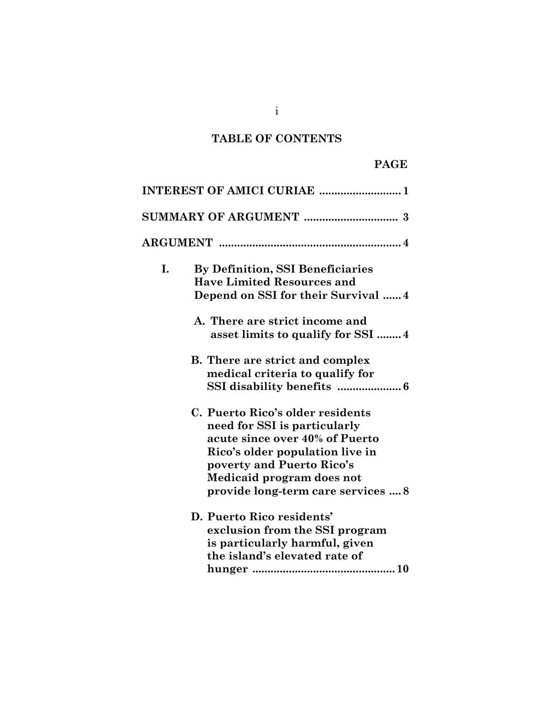# **TABLE OF CONTENTS**

## **PAGE**

|    | INTEREST OF AMICI CURIAE  1                                                                                                                                                                                                           |
|----|---------------------------------------------------------------------------------------------------------------------------------------------------------------------------------------------------------------------------------------|
|    |                                                                                                                                                                                                                                       |
|    |                                                                                                                                                                                                                                       |
| I. | By Definition, SSI Beneficiaries<br><b>Have Limited Resources and</b><br>Depend on SSI for their Survival  4                                                                                                                          |
|    | A. There are strict income and<br>asset limits to qualify for SSI 4                                                                                                                                                                   |
|    | <b>B.</b> There are strict and complex<br>medical criteria to qualify for                                                                                                                                                             |
|    | C. Puerto Rico's older residents<br>need for SSI is particularly<br>acute since over 40% of Puerto<br>Rico's older population live in<br>poverty and Puerto Rico's<br>Medicaid program does not<br>provide long-term care services  8 |
|    | D. Puerto Rico residents'<br>exclusion from the SSI program<br>is particularly harmful, given<br>the island's elevated rate of                                                                                                        |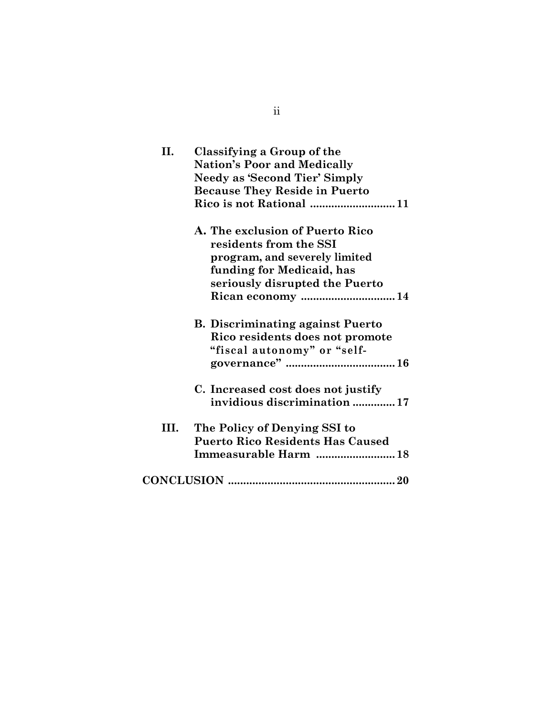| Η.   | Classifying a Group of the<br><b>Nation's Poor and Medically</b><br><b>Needy as 'Second Tier' Simply</b><br><b>Because They Reside in Puerto</b><br>Rico is not Rational  11 |
|------|------------------------------------------------------------------------------------------------------------------------------------------------------------------------------|
|      | A. The exclusion of Puerto Rico<br>residents from the SSI<br>program, and severely limited<br>funding for Medicaid, has<br>seriously disrupted the Puerto                    |
|      | <b>B. Discriminating against Puerto</b><br>Rico residents does not promote<br>"fiscal autonomy" or "self-                                                                    |
|      | C. Increased cost does not justify<br>invidious discrimination  17                                                                                                           |
| III. | The Policy of Denying SSI to<br><b>Puerto Rico Residents Has Caused</b><br>Immeasurable Harm  18                                                                             |
|      |                                                                                                                                                                              |

ii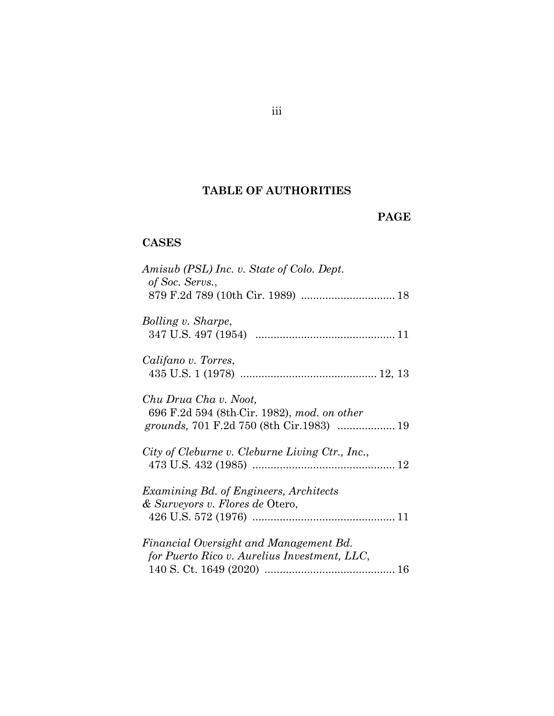# **TABLE OF AUTHORITIES**

## **PAGE**

# **CASES**

| Amisub (PSL) Inc. v. State of Colo. Dept.<br>of Soc. Servs.,                           |  |
|----------------------------------------------------------------------------------------|--|
| Bolling v. Sharpe,                                                                     |  |
| Califano v. Torres,                                                                    |  |
| Chu Drua Cha v. Noot,<br>696 F.2d 594 (8th-Cir. 1982), mod. on other                   |  |
| City of Cleburne v. Cleburne Living Ctr., Inc.,                                        |  |
| Examining Bd. of Engineers, Architects<br>& Surveyors v. Flores de Otero,              |  |
| Financial Oversight and Management Bd.<br>for Puerto Rico v. Aurelius Investment, LLC, |  |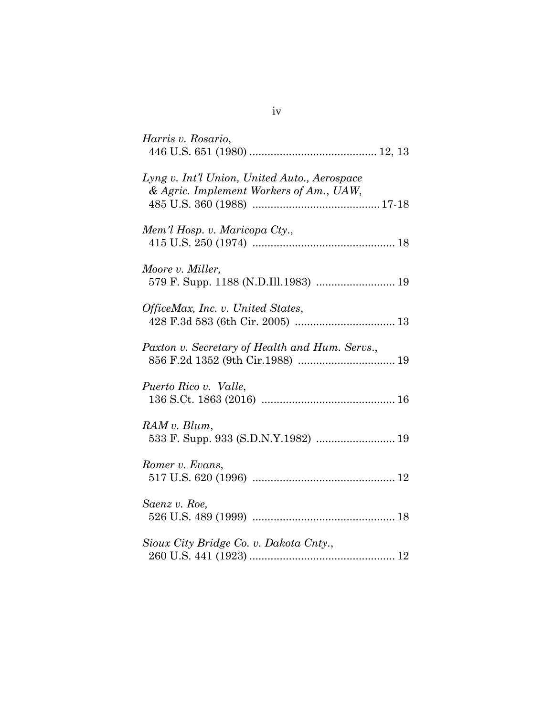| Harris v. Rosario,                                                                      |
|-----------------------------------------------------------------------------------------|
| Lyng v. Int'l Union, United Auto., Aerospace<br>& Agric. Implement Workers of Am., UAW, |
| Mem'l Hosp. v. Maricopa Cty.,                                                           |
| Moore v. Miller,<br>579 F. Supp. 1188 (N.D.Ill.1983)  19                                |
| OfficeMax, Inc. v. United States,                                                       |
| Paxton v. Secretary of Health and Hum. Servs.,                                          |
| Puerto Rico v. Valle,                                                                   |
| RAM v. Blum,<br>533 F. Supp. 933 (S.D.N.Y.1982)  19                                     |
| Romer v. Evans,                                                                         |
| Saenz v. Roe,                                                                           |
| Sioux City Bridge Co. v. Dakota Cnty.,                                                  |

iv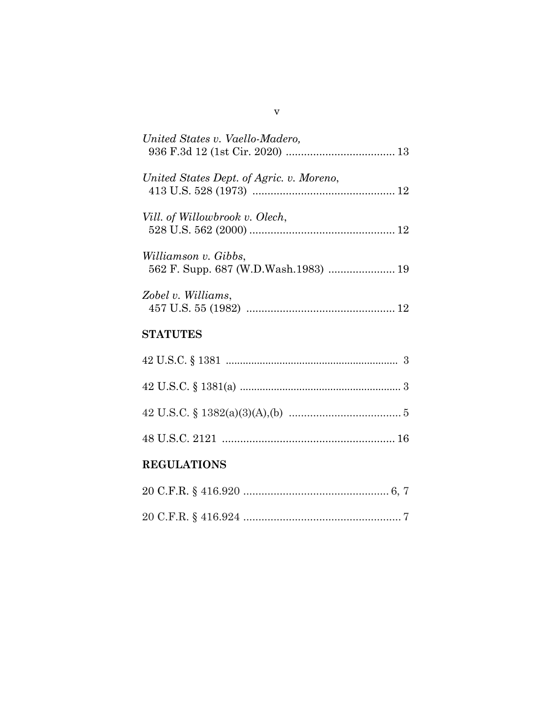| United States v. Vaello-Madero,                              |
|--------------------------------------------------------------|
| United States Dept. of Agric. v. Moreno,                     |
| Vill. of Willowbrook v. Olech,                               |
| Williamson v. Gibbs,<br>562 F. Supp. 687 (W.D.Wash.1983)  19 |
| Zobel v. Williams,                                           |
| <b>STATUTES</b>                                              |
|                                                              |
|                                                              |
|                                                              |
|                                                              |
| <b>REGULATIONS</b>                                           |
|                                                              |

20 C.F.R. § 416.924 .................................................... 7

v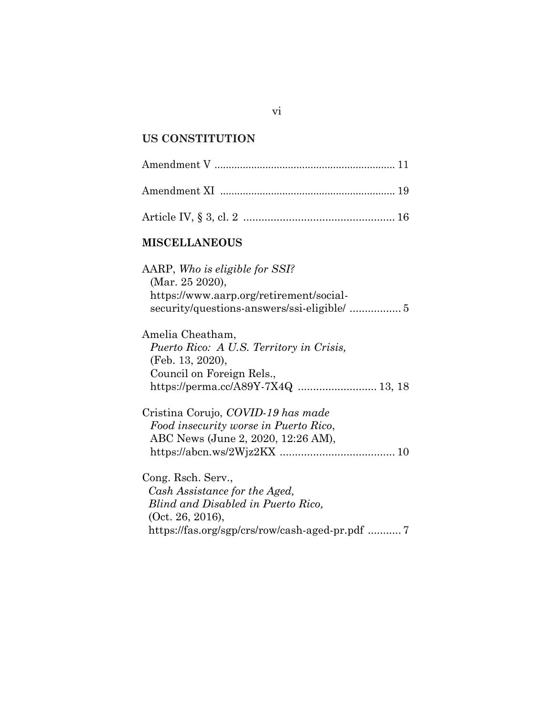# **US CONSTITUTION**

| <b>MISCELLANEOUS</b>                                                                                                                                             |
|------------------------------------------------------------------------------------------------------------------------------------------------------------------|
| AARP, Who is eligible for SSI?<br>(Mar. 25 2020),<br>https://www.aarp.org/retirement/social-                                                                     |
| Amelia Cheatham,<br>Puerto Rico: A U.S. Territory in Crisis,<br>(Feb. 13, 2020),<br>Council on Foreign Rels.,<br>https://perma.cc/A89Y-7X4Q  13, 18              |
| Cristina Corujo, COVID-19 has made<br>Food insecurity worse in Puerto Rico,<br>ABC News (June 2, 2020, 12:26 AM),                                                |
| Cong. Rsch. Serv.,<br>Cash Assistance for the Aged,<br>Blind and Disabled in Puerto Rico.<br>(Oct. 26, 2016),<br>https://fas.org/sgp/crs/row/cash-aged-pr.pdf  7 |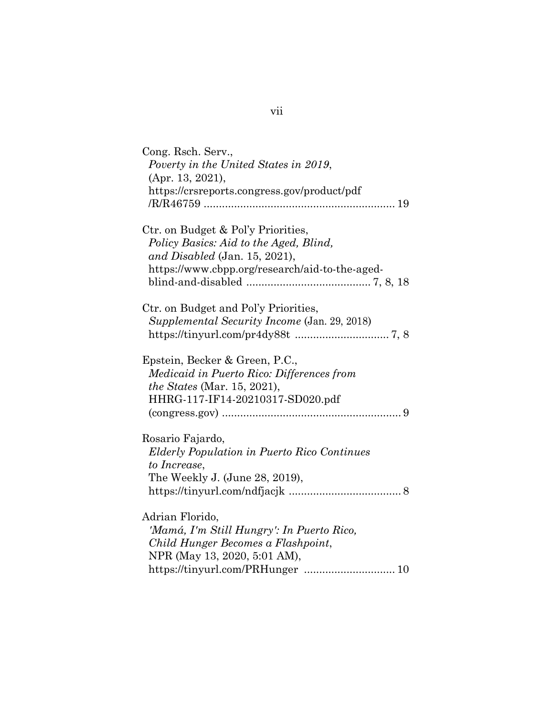|                 | Cong. Rsch. Serv.,                                 |
|-----------------|----------------------------------------------------|
|                 | Poverty in the United States in 2019,              |
|                 | (Apr. 13, 2021),                                   |
|                 | https://crsreports.congress.gov/product/pdf        |
|                 |                                                    |
|                 | Ctr. on Budget & Pol'y Priorities,                 |
|                 | Policy Basics: Aid to the Aged, Blind,             |
|                 | and Disabled (Jan. 15, 2021),                      |
|                 | https://www.cbpp.org/research/aid-to-the-aged-     |
|                 |                                                    |
|                 | Ctr. on Budget and Pol'y Priorities,               |
|                 | Supplemental Security Income (Jan. 29, 2018)       |
|                 |                                                    |
|                 | Epstein, Becker & Green, P.C.,                     |
|                 | Medicaid in Puerto Rico: Differences from          |
|                 | the States (Mar. 15, 2021),                        |
|                 | HHRG-117-IF14-20210317-SD020.pdf                   |
|                 |                                                    |
|                 | Rosario Fajardo,                                   |
|                 | <b>Elderly Population in Puerto Rico Continues</b> |
| to Increase,    |                                                    |
|                 | The Weekly J. (June 28, 2019),                     |
|                 |                                                    |
|                 |                                                    |
| Adrian Florido, |                                                    |
|                 | 'Mamá, I'm Still Hungry': In Puerto Rico,          |
|                 | Child Hunger Becomes a Flashpoint,                 |
|                 | NPR (May 13, 2020, 5:01 AM),                       |
|                 |                                                    |

vii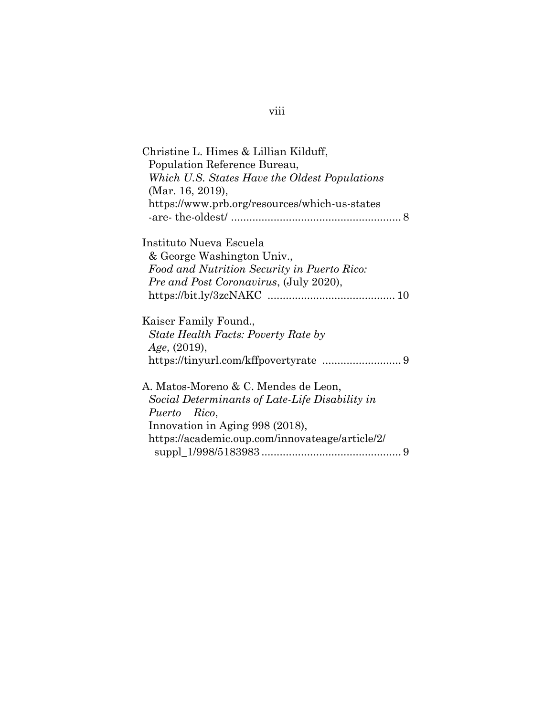| Christine L. Himes & Lillian Kilduff,           |
|-------------------------------------------------|
| Population Reference Bureau,                    |
| Which U.S. States Have the Oldest Populations   |
| (Mar. 16, 2019),                                |
| https://www.prb.org/resources/which-us-states   |
|                                                 |
|                                                 |
| Instituto Nueva Escuela                         |
| & George Washington Univ.,                      |
| Food and Nutrition Security in Puerto Rico:     |
| <i>Pre and Post Coronavirus, (July 2020),</i>   |
|                                                 |
|                                                 |
| Kaiser Family Found.,                           |
| State Health Facts: Poverty Rate by             |
| Age, (2019),                                    |
|                                                 |
|                                                 |
| A. Matos-Moreno & C. Mendes de Leon,            |
| Social Determinants of Late-Life Disability in  |
| Puerto Rico,                                    |
| Innovation in Aging 998 (2018),                 |
|                                                 |
| https://academic.oup.com/innovateage/article/2/ |
|                                                 |

# viii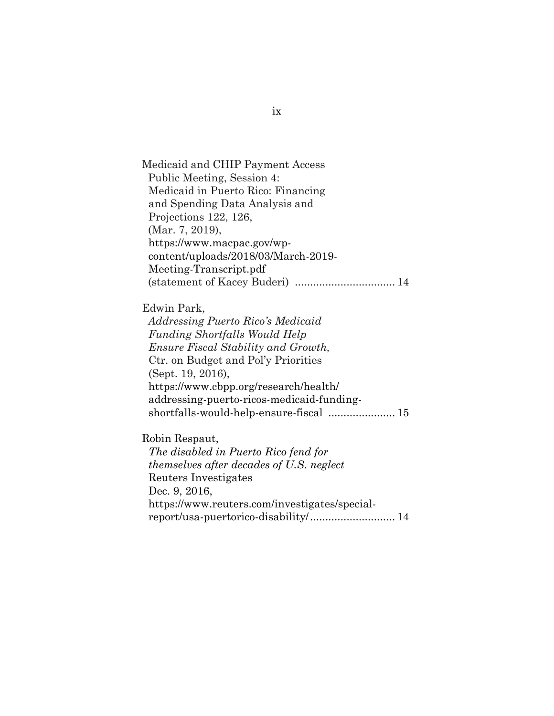Medicaid and CHIP Payment Access Public Meeting, Session 4: Medicaid in Puerto Rico: Financing and Spending Data Analysis and Projections 122, 126, (Mar. 7, 2019), [https://www.macpac.gov/wp](https://www.macpac.gov/wp-content/uploads/2018/03/March-2019-%20%20%20%20%20%20%20%20%20%20%20%20%20%20Meeting-Transcript.pdf)[content/uploads/2018/03/March-2019-](https://www.macpac.gov/wp-content/uploads/2018/03/March-2019-%20%20%20%20%20%20%20%20%20%20%20%20%20%20Meeting-Transcript.pdf)  [Meeting-Transcript.pdf](https://www.macpac.gov/wp-content/uploads/2018/03/March-2019-%20%20%20%20%20%20%20%20%20%20%20%20%20%20Meeting-Transcript.pdf) (statement of Kacey Buderi) ................................. 14

#### Edwin Park,

 *Addressing Puerto Rico's Medicaid Funding Shortfalls Would Help Ensure Fiscal Stability and Growth,* Ctr. on Budget and Pol'y Priorities (Sept. 19, 2016), [https://www.cbpp.org/research/health/](https://www.cbpp.org/research/health/%20%20%20%20%20%20%20%20%20addressing-puerto-ricos-medicaid-funding-shortfalls-would-help-ensure-fiscal)  [addressing-puerto-ricos-medicaid-funding](https://www.cbpp.org/research/health/%20%20%20%20%20%20%20%20%20addressing-puerto-ricos-medicaid-funding-shortfalls-would-help-ensure-fiscal)[shortfalls-would-help-ensure-fiscal](https://www.cbpp.org/research/health/%20%20%20%20%20%20%20%20%20addressing-puerto-ricos-medicaid-funding-shortfalls-would-help-ensure-fiscal) ...................... 15

#### Robin Respaut,

*The disabled in Puerto Rico fend for themselves after decades of U.S. neglect* Reuters Investigates Dec. 9, 2016, [https://www.reuters.com/investigates/special](https://www.reuters.com/investigates/special-report/usa-puertorico-disability/)[report/usa-puertorico-disability/.](https://www.reuters.com/investigates/special-report/usa-puertorico-disability/)........................... 14

#### ix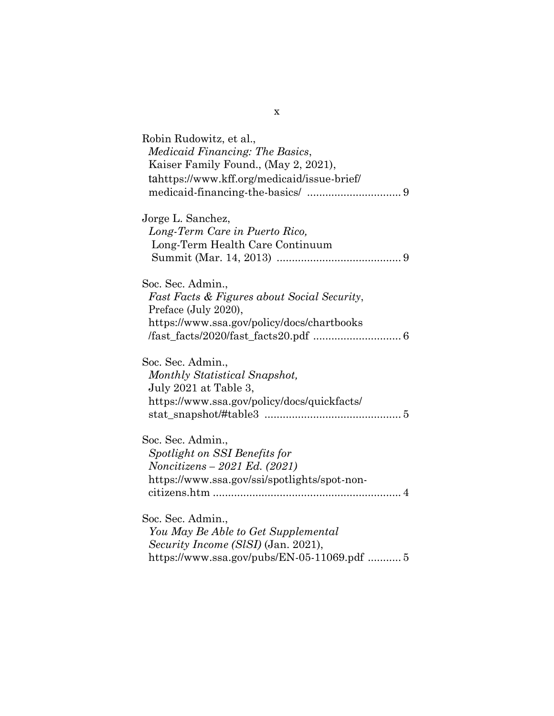| Robin Rudowitz, et al.,<br>Medicaid Financing: The Basics,<br>Kaiser Family Found., (May 2, 2021),<br>tahttps://www.kff.org/medicaid/issue-brief/                                                                                                                                                                                                                                                                                                                                                                                                                                 |  |
|-----------------------------------------------------------------------------------------------------------------------------------------------------------------------------------------------------------------------------------------------------------------------------------------------------------------------------------------------------------------------------------------------------------------------------------------------------------------------------------------------------------------------------------------------------------------------------------|--|
| Jorge L. Sanchez,<br>Long-Term Care in Puerto Rico,<br>Long-Term Health Care Continuum                                                                                                                                                                                                                                                                                                                                                                                                                                                                                            |  |
| Soc. Sec. Admin.,<br><i>Fast Facts &amp; Figures about Social Security,</i><br>Preface (July 2020),<br>https://www.ssa.gov/policy/docs/chartbooks<br>$\label{eq:1} \hspace*{-0.1cm}/\text{fast\_facts/2020/fast\_facts20.pdf}\hspace*{-0.06cm} \ldots \hspace*{-0.06cm} \ldots \hspace*{-0.06cm}\ldots \hspace*{-0.06cm}\ldots \hspace*{-0.06cm}\ldots \hspace*{-0.06cm}\ldots \hspace*{-0.06cm}\ldots \hspace*{-0.06cm}\ldots \hspace*{-0.06cm}\ldots \hspace*{-0.06cm}\ldots \hspace*{-0.06cm}\ldots \hspace*{-0.06cm}\ldots \hspace*{-0.06cm}\ldots \hspace*{-0.06cm}\ldots \$ |  |
| Soc. Sec. Admin.,<br>Monthly Statistical Snapshot,<br>July 2021 at Table 3,<br>https://www.ssa.gov/policy/docs/quickfacts/                                                                                                                                                                                                                                                                                                                                                                                                                                                        |  |
| Soc. Sec. Admin.,<br>Spotlight on SSI Benefits for<br>Noncitizens - 2021 Ed. (2021)<br>https://www.ssa.gov/ssi/spotlights/spot-non-                                                                                                                                                                                                                                                                                                                                                                                                                                               |  |
| Soc. Sec. Admin.,<br>You May Be Able to Get Supplemental<br>Security Income (SISI) (Jan. 2021),<br>https://www.ssa.gov/pubs/EN-05-11069.pdf 5                                                                                                                                                                                                                                                                                                                                                                                                                                     |  |

x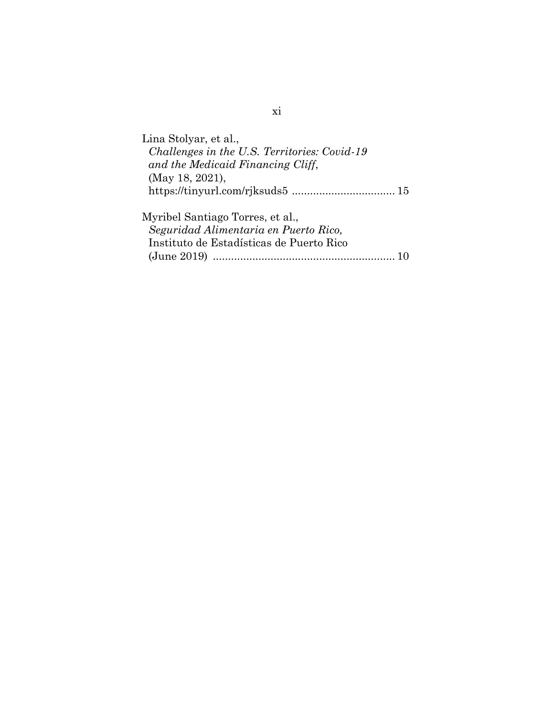| Lina Stolyar, et al.,                        |  |
|----------------------------------------------|--|
| Challenges in the U.S. Territories: Covid-19 |  |
| and the Medicaid Financing Cliff,            |  |
| (May 18, 2021),                              |  |
|                                              |  |
|                                              |  |
| Myribel Santiago Torres, et al.,             |  |
| Seguridad Alimentaria en Puerto Rico,        |  |
| Instituto de Estadísticas de Puerto Rico     |  |
| $\left( \text{June } 2019 \right)$           |  |
|                                              |  |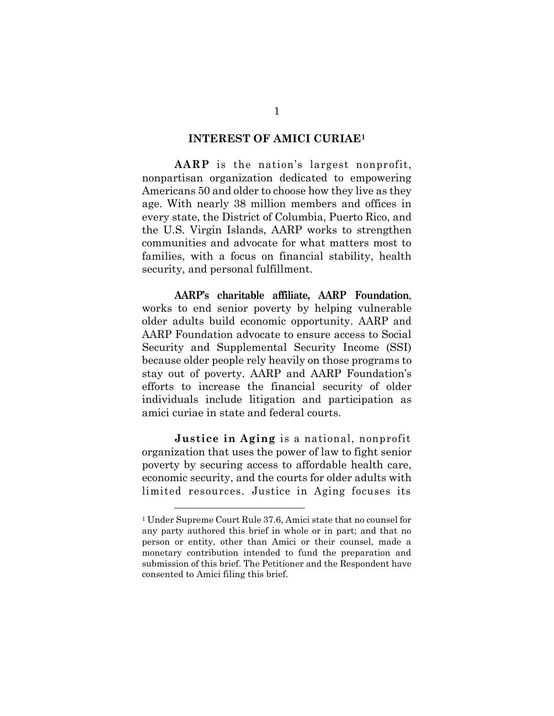#### **INTEREST OF AMICI CURIAE<sup>1</sup>**

**AARP** is the nation's largest nonprofit, nonpartisan organization dedicated to empowering Americans 50 and older to choose how they live as they age. With nearly 38 million members and offices in every state, the District of Columbia, Puerto Rico, and the U.S. Virgin Islands, AARP works to strengthen communities and advocate for what matters most to families, with a focus on financial stability, health security, and personal fulfillment.

**AARP's charitable affiliate, AARP Foundation**, works to end senior poverty by helping vulnerable older adults build economic opportunity. AARP and AARP Foundation advocate to ensure access to Social Security and Supplemental Security Income (SSI) because older people rely heavily on those programs to stay out of poverty. AARP and AARP Foundation's efforts to increase the financial security of older individuals include litigation and participation as amici curiae in state and federal courts.

**Justice in Aging** is a national, nonprofit organization that uses the power of law to fight senior poverty by securing access to affordable health care, economic security, and the courts for older adults with limited resources. Justice in Aging focuses its

<sup>1</sup> Under Supreme Court Rule 37.6, Amici state that no counsel for any party authored this brief in whole or in part; and that no person or entity, other than Amici or their counsel, made a monetary contribution intended to fund the preparation and submission of this brief. The Petitioner and the Respondent have consented to Amici filing this brief.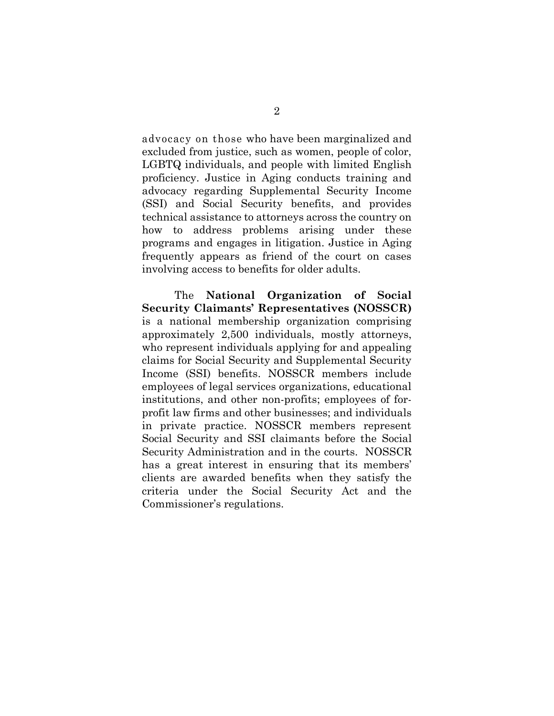advocacy on those who have been marginalized and excluded from justice, such as women, people of color, LGBTQ individuals, and people with limited English proficiency. Justice in Aging conducts training and advocacy regarding Supplemental Security Income (SSI) and Social Security benefits, and provides technical assistance to attorneys across the country on how to address problems arising under these programs and engages in litigation. Justice in Aging frequently appears as friend of the court on cases involving access to benefits for older adults.

The **National Organization of Social Security Claimants' Representatives (NOSSCR)** is a national membership organization comprising approximately 2,500 individuals, mostly attorneys, who represent individuals applying for and appealing claims for Social Security and Supplemental Security Income (SSI) benefits. NOSSCR members include employees of legal services organizations, educational institutions, and other non-profits; employees of forprofit law firms and other businesses; and individuals in private practice. NOSSCR members represent Social Security and SSI claimants before the Social Security Administration and in the courts. NOSSCR has a great interest in ensuring that its members' clients are awarded benefits when they satisfy the criteria under the Social Security Act and the Commissioner's regulations.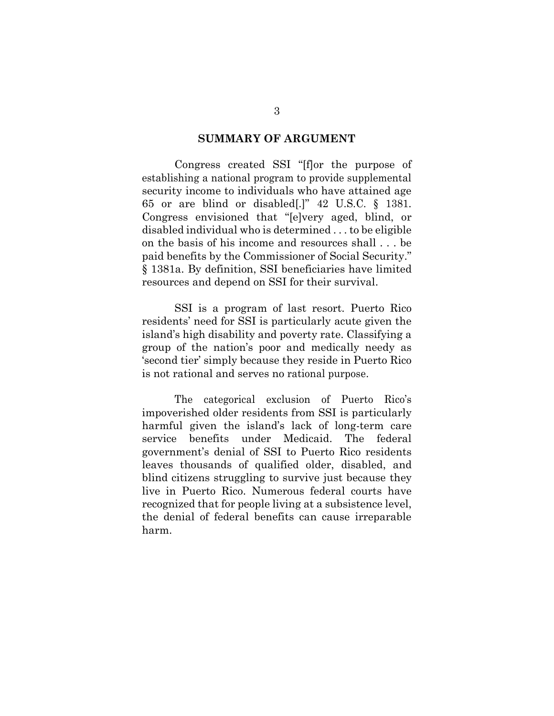#### **SUMMARY OF ARGUMENT**

Congress created SSI "[f]or the purpose of establishing a national program to provide supplemental security income to individuals who have attained age 65 or are blind or disabled[.]" 42 U.S.C. § 1381. Congress envisioned that "[e]very aged, blind, or disabled individual who is determined . . . to be eligible on the basis of his income and resources shall . . . be paid benefits by the Commissioner of Social Security." § 1381a. By definition, SSI beneficiaries have limited resources and depend on SSI for their survival.

SSI is a program of last resort. Puerto Rico residents' need for SSI is particularly acute given the island's high disability and poverty rate. Classifying a group of the nation's poor and medically needy as 'second tier' simply because they reside in Puerto Rico is not rational and serves no rational purpose.

The categorical exclusion of Puerto Rico's impoverished older residents from SSI is particularly harmful given the island's lack of long-term care service benefits under Medicaid. The federal government's denial of SSI to Puerto Rico residents leaves thousands of qualified older, disabled, and blind citizens struggling to survive just because they live in Puerto Rico. Numerous federal courts have recognized that for people living at a subsistence level, the denial of federal benefits can cause irreparable harm.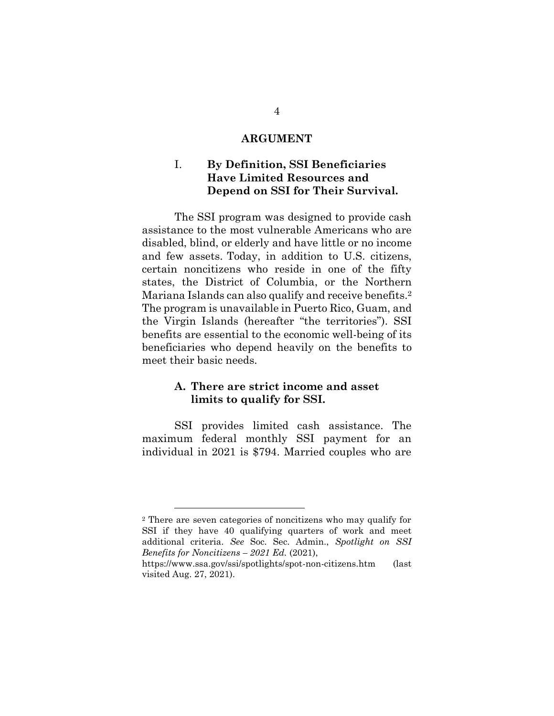#### **ARGUMENT**

## I. **By Definition, SSI Beneficiaries Have Limited Resources and Depend on SSI for Their Survival.**

The SSI program was designed to provide cash assistance to the most vulnerable Americans who are disabled, blind, or elderly and have little or no income and few assets. Today, in addition to U.S. citizens, certain noncitizens who reside in one of the fifty states, the District of Columbia, or the Northern Mariana Islands can also qualify and receive benefits. 2 The program is unavailable in Puerto Rico, Guam, and the Virgin Islands (hereafter "the territories"). SSI benefits are essential to the economic well-being of its beneficiaries who depend heavily on the benefits to meet their basic needs.

### **A. There are strict income and asset limits to qualify for SSI.**

SSI provides limited cash assistance. The maximum federal monthly SSI payment for an individual in 2021 is \$794. Married couples who are

<sup>2</sup> There are seven categories of noncitizens who may qualify for SSI if they have 40 qualifying quarters of work and meet additional criteria. *See* Soc. Sec. Admin., *Spotlight on SSI Benefits for Noncitizens – 2021 Ed.* (2021),

<https://www.ssa.gov/ssi/spotlights/spot-non-citizens.htm> (last visited Aug. 27, 2021).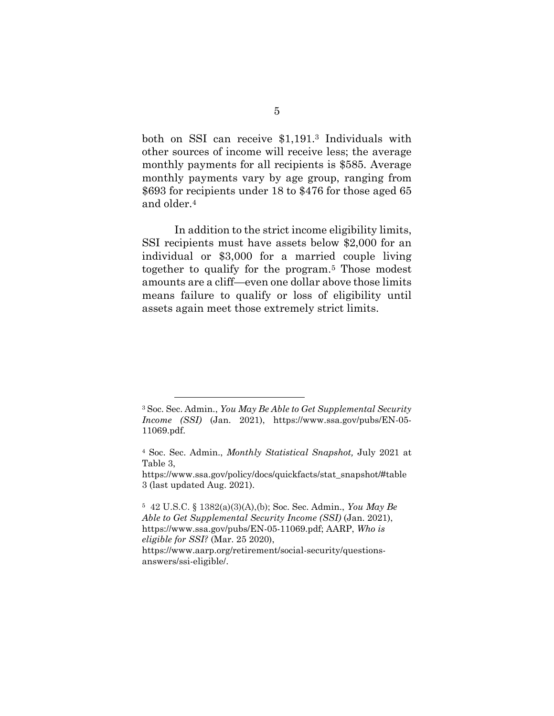both on SSI can receive \$1,191.<sup>3</sup> Individuals with other sources of income will receive less; the average monthly payments for all recipients is \$585. Average monthly payments vary by age group, ranging from \$693 for recipients under 18 to \$476 for those aged 65 and older.<sup>4</sup>

In addition to the strict income eligibility limits, SSI recipients must have assets below \$2,000 for an individual or \$3,000 for a married couple living together to qualify for the program. <sup>5</sup> Those modest amounts are a cliff—even one dollar above those limits means failure to qualify or loss of eligibility until assets again meet those extremely strict limits.

<sup>3</sup> Soc. Sec. Admin., *You May Be Able to Get Supplemental Security Income (SSI)* (Jan. 2021), [https://www.ssa.gov/pubs/EN-05-](https://www.ssa.gov/pubs/EN-05-11069.pdf) [11069.pdf.](https://www.ssa.gov/pubs/EN-05-11069.pdf)

<sup>4</sup> Soc. Sec. Admin., *Monthly Statistical Snapshot,* July 2021 at Table 3,

[https://www.ssa.gov/policy/docs/quickfacts/stat\\_snapshot/#table](https://www.ssa.gov/policy/docs/quickfacts/stat_snapshot/#table3) [3](https://www.ssa.gov/policy/docs/quickfacts/stat_snapshot/#table3) (last updated Aug. 2021).

<sup>5</sup> 42 U.S.C. § 1382(a)(3)(A),(b); Soc. Sec. Admin., *You May Be Able to Get Supplemental Security Income (SSI)* (Jan. 2021), https://www.ssa.gov/pubs/EN-05-11069.pdf; AARP, *Who is eligible for SSI?* (Mar. 25 2020), [https://www.aarp.org/retirement/social-security/questions-](https://www.aarp.org/retirement/social-security/questions-answers/ssi-eligible/)

[answers/ssi-eligible/.](https://www.aarp.org/retirement/social-security/questions-answers/ssi-eligible/)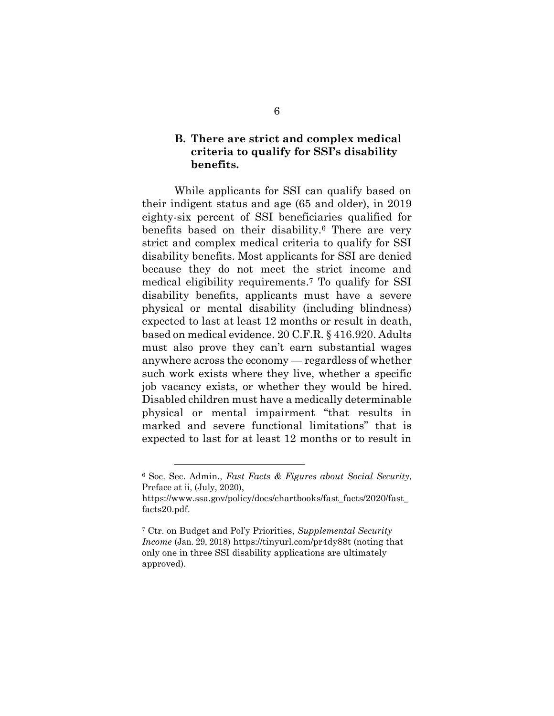## **B. There are strict and complex medical criteria to qualify for SSI's disability benefits.**

While applicants for SSI can qualify based on their indigent status and age (65 and older), in 2019 eighty-six percent of SSI beneficiaries qualified for benefits based on their disability.<sup>6</sup> There are very strict and complex medical criteria to qualify for SSI disability benefits. Most applicants for SSI are denied because they do not meet the strict income and medical eligibility requirements. <sup>7</sup> To qualify for SSI disability benefits, applicants must have a severe physical or mental disability (including blindness) expected to last at least 12 months or result in death, based on medical evidence. 20 C.F.R. § 416.920. Adults must also prove they can't earn substantial wages anywhere across the economy — regardless of whether such work exists where they live, whether a specific job vacancy exists, or whether they would be hired. Disabled children must have a medically determinable physical or mental impairment "that results in marked and severe functional limitations" that is expected to last for at least 12 months or to result in

<sup>6</sup> Soc. Sec. Admin., *Fast Facts & Figures about Social Security*, Preface at ii, (July, 2020),

[https://www.ssa.gov/policy/docs/chartbooks/fast\\_facts/2020/fast\\_](https://www.ssa.gov/policy/docs/chartbooks/fast_facts/2020/fast_facts20.pdf) [facts20.pdf.](https://www.ssa.gov/policy/docs/chartbooks/fast_facts/2020/fast_facts20.pdf)

<sup>7</sup> Ctr. on Budget and Pol'y Priorities, *Supplemental Security Income* (Jan. 29, 2018) https://tinyurl.com/pr4dy88t (noting that only one in three SSI disability applications are ultimately approved).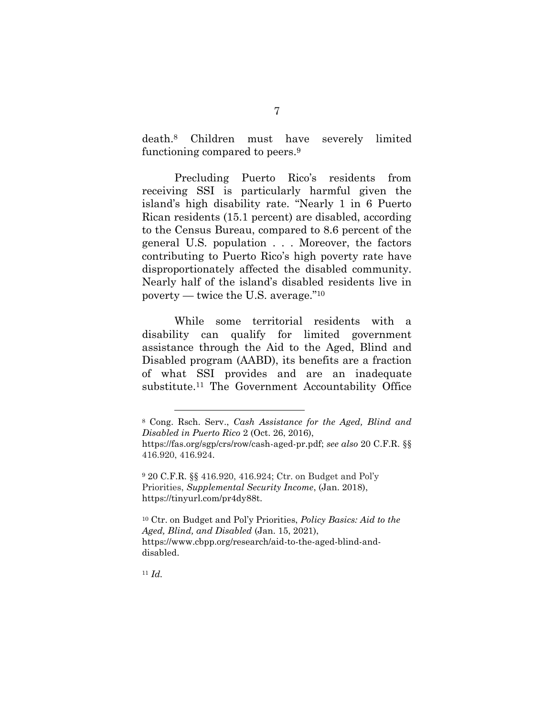death.<sup>8</sup> Children must have severely limited functioning compared to peers.<sup>9</sup>

Precluding Puerto Rico's residents from receiving SSI is particularly harmful given the island's high disability rate. "Nearly 1 in 6 Puerto Rican residents (15.1 percent) are disabled, according to the Census Bureau, compared to 8.6 percent of the general U.S. population . . . Moreover, the factors contributing to Puerto Rico's high poverty rate have disproportionately affected the disabled community. Nearly half of the island's disabled residents live in poverty — twice the U.S. average." <sup>10</sup>

While some territorial residents with a disability can qualify for limited government assistance through the Aid to the Aged, Blind and Disabled program (AABD), its benefits are a fraction of what SSI provides and are an inadequate substitute. <sup>11</sup> The Government Accountability Office

<sup>11</sup> *Id.*

<sup>8</sup> Cong. Rsch. Serv., *Cash Assistance for the Aged, Blind and Disabled in Puerto Rico* 2 (Oct. 26, 2016),

[https://fas.org/sgp/crs/row/cash-aged-pr.pdf;](https://fas.org/sgp/crs/row/cash-aged-pr.pdf) *see also* 20 C.F.R. §§ 416.920, 416.924.

<sup>9</sup> 20 C.F.R. §§ 416.920, 416.924; Ctr. on Budget and Pol'y Priorities, *Supplemental Security Income*, (Jan. 2018), https://tinyurl.com/pr4dy88t.

<sup>10</sup> Ctr. on Budget and Pol'y Priorities, *Policy Basics: Aid to the Aged, Blind, and Disabled* (Jan. 15, 2021), [https://www.cbpp.org/research/aid-to-the-aged-blind-and](https://www.cbpp.org/research/aid-to-the-aged-blind-and-disabled)[disabled.](https://www.cbpp.org/research/aid-to-the-aged-blind-and-disabled)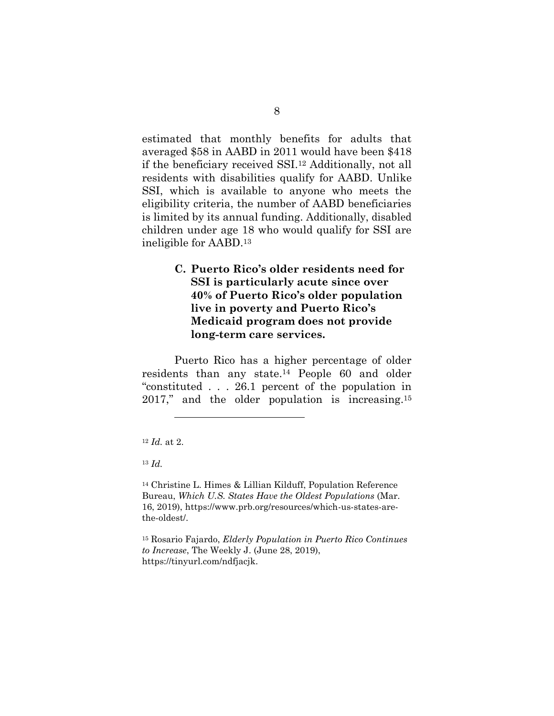estimated that monthly benefits for adults that averaged \$58 in AABD in 2011 would have been \$418 if the beneficiary received SSI.<sup>12</sup> Additionally, not all residents with disabilities qualify for AABD. Unlike SSI, which is available to anyone who meets the eligibility criteria, the number of AABD beneficiaries is limited by its annual funding. Additionally, disabled children under age 18 who would qualify for SSI are ineligible for AABD.<sup>13</sup>

## **C. Puerto Rico's older residents need for SSI is particularly acute since over 40% of Puerto Rico's older population live in poverty and Puerto Rico's Medicaid program does not provide long-term care services.**

Puerto Rico has a higher percentage of older residents than any state.<sup>14</sup> People 60 and older "constituted . . . 26.1 percent of the population in 2017," and the older population is increasing. 15

 $\overline{a}$ 

<sup>14</sup> Christine L. Himes & Lillian Kilduff, Population Reference Bureau, *Which U.S. States Have the Oldest Populations* (Mar. 16, 2019), https://www.prb.org/resources/which-us-states-arethe-oldest/.

<sup>15</sup> Rosario Fajardo, *Elderly Population in Puerto Rico Continues to Increase*, The Weekly J. (June 28, 2019), https://tinyurl.com/ndfjacjk.

<sup>12</sup> *Id.* at 2.

<sup>13</sup> *Id.*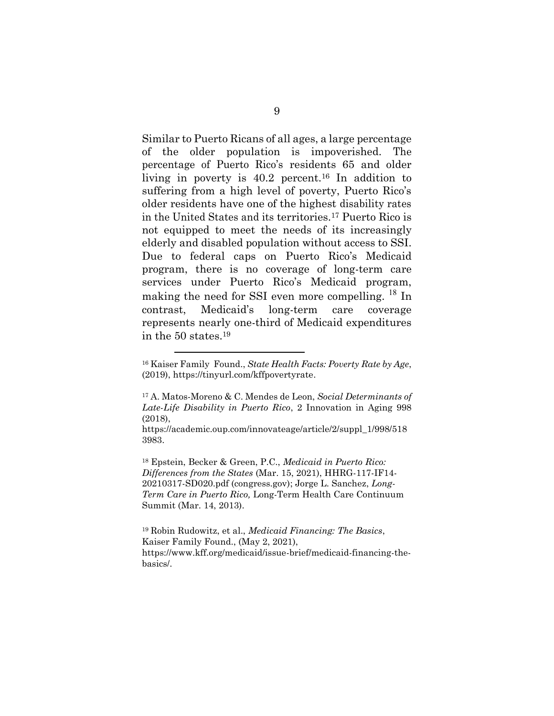Similar to Puerto Ricans of all ages, a large percentage of the older population is impoverished. The percentage of Puerto Rico's residents 65 and older living in poverty is  $40.2$  percent.<sup>16</sup> In addition to suffering from a high level of poverty, Puerto Rico's older residents have one of the highest disability rates in the United States and its territories.<sup>17</sup> Puerto Rico is not equipped to meet the needs of its increasingly elderly and disabled population without access to SSI. Due to federal caps on Puerto Rico's Medicaid program, there is no coverage of long-term care services under Puerto Rico's Medicaid program, making the need for SSI even more compelling. <sup>18</sup> In contrast, Medicaid's long-term care coverage represents nearly one-third of Medicaid expenditures in the 50 states.<sup>19</sup>

 $\overline{a}$ 

<sup>18</sup> Epstein, Becker & Green, P.C., *Medicaid in Puerto Rico: Differences from the States* (Mar. 15, 2021), [HHRG-117-IF14-](https://www.congress.gov/117/meeting/house/111335/documents/HHRG-117-IF14-20210317-SD020.pdf) [20210317-SD020.pdf \(congress.gov\);](https://www.congress.gov/117/meeting/house/111335/documents/HHRG-117-IF14-20210317-SD020.pdf) Jorge L. Sanchez, *Long-Term Care in Puerto Rico,* Long-Term Health Care Continuum Summit (Mar. 14, 2013).

<sup>19</sup> Robin Rudowitz, et al., *Medicaid Financing: The Basics*, Kaiser Family Found., (May 2, 2021), https://www.kff.org/medicaid/issue-brief/medicaid-financing-thebasics/.

<sup>16</sup> Kaiser Family Found., *State Health Facts: Poverty Rate by Age*, (2019), https://tinyurl.com/kffpovertyrate.

<sup>17</sup> A. Matos-Moreno & C. Mendes de Leon, *Social Determinants of Late-Life Disability in Puerto Rico*, 2 Innovation in Aging 998 (2018),

[https://academic.oup.com/innovateage/article/2/suppl\\_1/998/518](https://academic.oup.com/innovateage/article/2/suppl_1/998/5183983) [3983.](https://academic.oup.com/innovateage/article/2/suppl_1/998/5183983)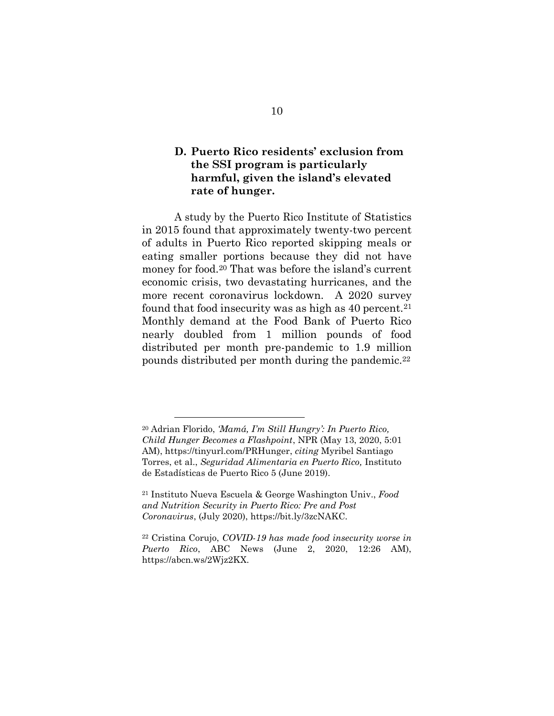## **D. Puerto Rico residents' exclusion from the SSI program is particularly harmful, given the island's elevated rate of hunger.**

A [study](https://estadisticas.pr/files/Comunicados/Seguridad%20Alimentaria%20en%20Puerto%20Rico%20-%20Final%20%28300519%29.pdf) by the Puerto Rico Institute of Statistics in 2015 found that approximately twenty-two percent of adults in Puerto Rico reported skipping meals or eating smaller portions because they did not have money for food.<sup>20</sup> That was before the island's current economic crisis, two devastating hurricanes, and the more recent coronavirus lockdown. A 2020 survey found that food insecurity was as high as  $40$  percent.<sup>21</sup> Monthly demand at the Food Bank of Puerto Rico nearly doubled from 1 million pounds of food distributed per month pre-pandemic to 1.9 million pounds distributed per month during the pandemic.<sup>22</sup>

<sup>20</sup> Adrian Florido, *'Mamá, I'm Still Hungry': In Puerto Rico, Child Hunger Becomes a Flashpoint*, NPR (May 13, 2020, 5:01 AM), [https://tinyurl.com/PRHunger,](https://tinyurl.com/PRHunger) *citing* Myribel Santiago Torres, et al., *Seguridad Alimentaria en Puerto Rico,* Instituto de Estadísticas de Puerto Rico 5 (June 2019).

<sup>21</sup> Instituto Nueva Escuela & George Washington Univ., *Food and Nutrition Security in Puerto Rico: Pre and Post Coronavirus*, (July 2020), [https://bit.ly/3zcNAKC.](https://nam12.safelinks.protection.outlook.com/?url=https%3A%2F%2Fbit.ly%2F3zcNAKC&data=04%7C01%7CBJones%40aarp.org%7C6ad582a11b5e433d9b3508d9667b8e4c%7Ca395e38b4b754e4493499a37de460a33%7C0%7C0%7C637653503122125965%7CUnknown%7CTWFpbGZsb3d8eyJWIjoiMC4wLjAwMDAiLCJQIjoiV2luMzIiLCJBTiI6Ik1haWwiLCJXVCI6Mn0%3D%7C1000&sdata=1UnDqlARUmO40qm5diZ%2F1TeYY91cDZXeqpxFadgjK58%3D&reserved=0)

<sup>22</sup> Cristina Corujo, *COVID-19 has made food insecurity worse in Puerto Rico*, ABC News (June 2, 2020, 12:26 AM), [https://abcn.ws/2Wjz2KX.](https://abcn.ws/2Wjz2KX)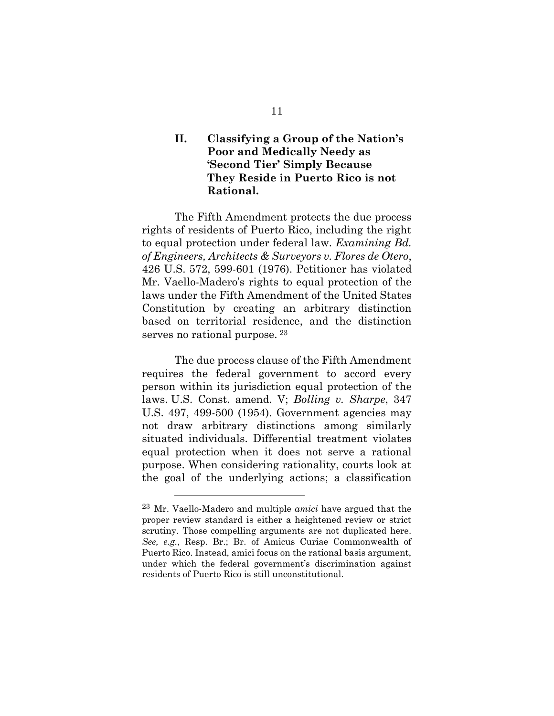## **II. Classifying a Group of the Nation's Poor and Medically Needy as 'Second Tier' Simply Because They Reside in Puerto Rico is not Rational.**

 The Fifth Amendment protects the due process rights of residents of Puerto Rico, including the right to equal protection under federal law. *Examining Bd. of Engineers, Architects & Surveyors v. Flores de Otero*, 426 U.S. 572, 599-601 (1976). Petitioner has violated Mr. Vaello-Madero's rights to equal protection of the laws under the Fifth Amendment of the United States Constitution by creating an arbitrary distinction based on territorial residence, and the distinction serves no rational purpose. <sup>23</sup>

The due process clause of the Fifth Amendment requires the federal government to accord every person within its jurisdiction equal protection of the laws. U.S. Const. amend. V; *Bolling v. Sharpe*, 347 U.S. 497, 499-500 (1954). Government agencies may not draw arbitrary distinctions among similarly situated individuals. Differential treatment violates equal protection when it does not serve a rational purpose. When considering rationality, courts look at the goal of the underlying actions; a classification

<sup>23</sup> Mr. Vaello-Madero and multiple *amici* have argued that the proper review standard is either a heightened review or strict scrutiny. Those compelling arguments are not duplicated here. *See, e.g.*, Resp. Br.; Br. of Amicus Curiae Commonwealth of Puerto Rico. Instead, amici focus on the rational basis argument, under which the federal government's discrimination against residents of Puerto Rico is still unconstitutional.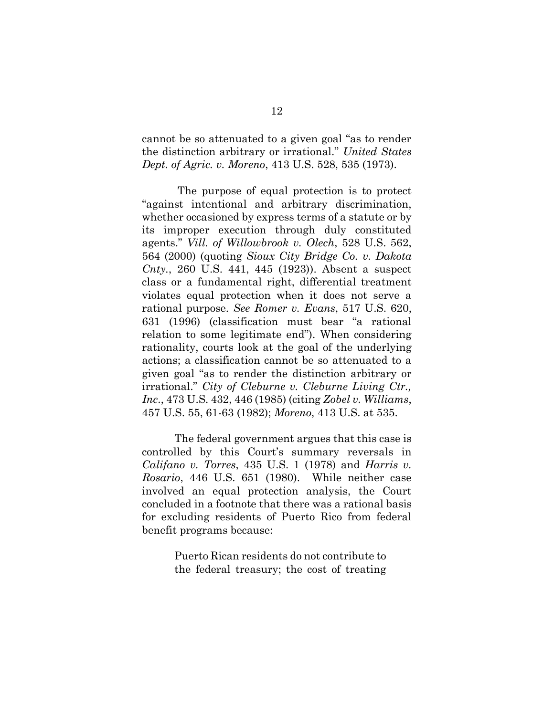cannot be so attenuated to a given goal "as to render the distinction arbitrary or irrational." *United States Dept. of Agric. v. Moreno*, 413 U.S. 528, 535 (1973).

The purpose of equal protection is to protect "against intentional and arbitrary discrimination, whether occasioned by express terms of a statute or by its improper execution through duly constituted agents." *Vill. of Willowbrook v. Olech*, 528 U.S. 562, 564 (2000) (quoting *Sioux City Bridge Co. v. Dakota Cnty.*, 260 U.S. 441, 445 (1923)). Absent a suspect class or a fundamental right, differential treatment violates equal protection when it does not serve a rational purpose. *See Romer v. Evans*, 517 U.S. 620, 631 (1996) (classification must bear "a rational relation to some legitimate end"). When considering rationality, courts look at the goal of the underlying actions; a classification cannot be so attenuated to a given goal "as to render the distinction arbitrary or irrational." *City of Cleburne v. Cleburne Living Ctr., Inc*., 473 U.S. 432, 446 (1985) (citing *Zobel v. Williams*, 457 U.S. 55, 61-63 (1982); *Moreno*, 413 U.S. at 535.

The federal government argues that this case is controlled by this Court's summary reversals in *Califano v. Torres*, 435 U.S. 1 (1978) and *Harris v. Rosario*, 446 U.S. 651 (1980). While neither case involved an equal protection analysis, the Court concluded in a footnote that there was a rational basis for excluding residents of Puerto Rico from federal benefit programs because:

> Puerto Rican residents do not contribute to the federal treasury; the cost of treating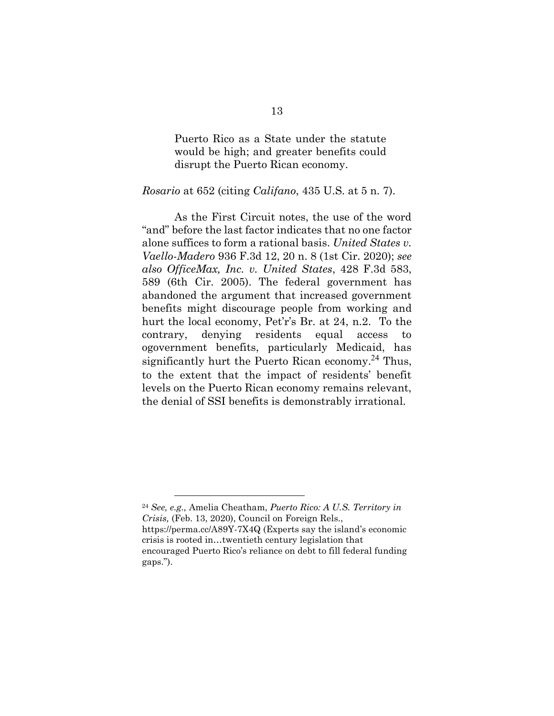Puerto Rico as a State under the statute would be high; and greater benefits could disrupt the Puerto Rican economy.

#### *Rosario* at 652 (citing *Califano*, 435 U.S. at 5 n. 7).

As the First Circuit notes, the use of the word "and" before the last factor indicates that no one factor alone suffices to form a rational basis. *United States v. Vaello-Madero* 936 F.3d 12, 20 n. 8 (1st Cir. 2020); *see also OfficeMax, Inc. v. United States*, 428 F.3d 583, 589 (6th Cir. 2005). The federal government has abandoned the argument that increased government benefits might discourage people from working and hurt the local economy, Pet'r's Br. at 24, n.2. To the contrary, denying residents equal access to ogovernment benefits, particularly Medicaid, has significantly hurt the Puerto Rican economy.<sup>24</sup> Thus, to the extent that the impact of residents' benefit levels on the Puerto Rican economy remains relevant, the denial of SSI benefits is demonstrably irrational.

<sup>24</sup> *See, e.g.,* Amelia Cheatham, *Puerto Rico: A U.S. Territory in Crisis,* (Feb. 13, 2020), Council on Foreign Rels., https://perma.cc/A89Y-7X4Q (Experts say the island's economic crisis is rooted in…twentieth century legislation that encouraged Puerto Rico's reliance on debt to fill federal funding gaps.").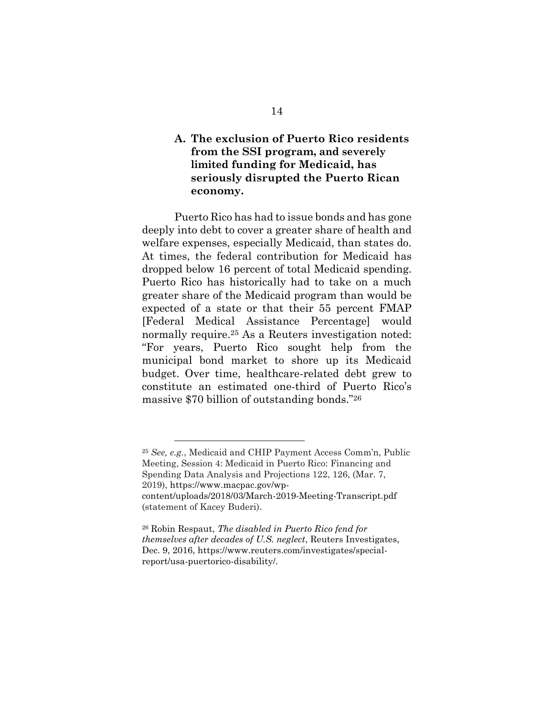## **A. The exclusion of Puerto Rico residents from the SSI program, and severely limited funding for Medicaid, has seriously disrupted the Puerto Rican economy.**

Puerto Rico has had to issue bonds and has gone deeply into debt to cover a greater share of health and welfare expenses, especially Medicaid, than states do. At times, the federal contribution for Medicaid has dropped below 16 percent of total Medicaid spending. Puerto Rico has historically had to take on a much greater share of the Medicaid program than would be expected of a state or that their 55 percent FMAP [Federal Medical Assistance Percentage] would normally require. <sup>25</sup> As a Reuters investigation noted: "For years, Puerto Rico sought help from the municipal bond market to shore up its Medicaid budget. Over time, healthcare-related debt grew to constitute an estimated one-third of Puerto Rico's massive \$70 billion of outstanding bonds."<sup>26</sup>

<sup>25</sup> *See, e.g.*, Medicaid and CHIP Payment Access Comm'n, Public Meeting, Session 4: Medicaid in Puerto Rico: Financing and Spending Data Analysis and Projections 122, 126, (Mar. 7, 2019), [https://www.macpac.gov/wp](https://www.macpac.gov/wp-content/uploads/2018/03/March-2019-Meeting-Transcript.pdf)[content/uploads/2018/03/March-2019-Meeting-Transcript.pdf](https://www.macpac.gov/wp-content/uploads/2018/03/March-2019-Meeting-Transcript.pdf) (statement of Kacey Buderi).

<sup>26</sup> Robin Respaut, *The disabled in Puerto Rico fend for themselves after decades of U.S. neglect*, Reuters Investigates, Dec. 9, 2016, [https://www.reuters.com/investigates/special](https://www.reuters.com/investigates/special-report/usa-puertorico-disability/)[report/usa-puertorico-disability/.](https://www.reuters.com/investigates/special-report/usa-puertorico-disability/)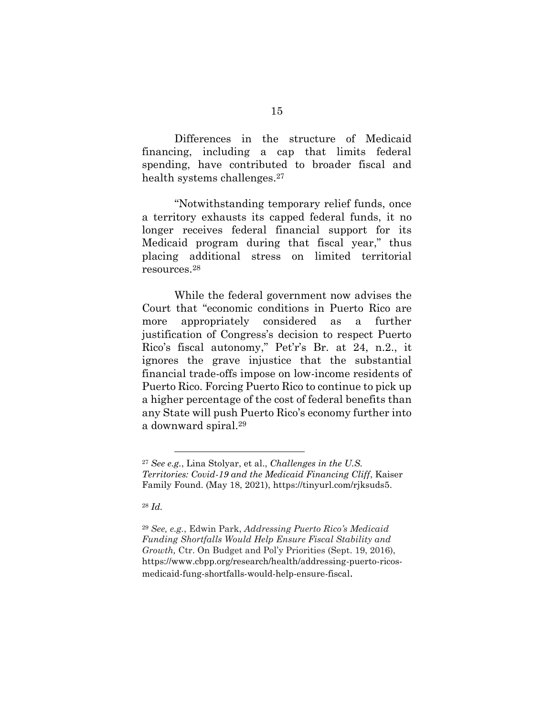Differences in the structure of Medicaid financing, including a cap that limits federal spending, have contributed to broader fiscal and health systems challenges.<sup>27</sup>

"Notwithstanding temporary relief funds, once a territory exhausts its capped federal funds, it no longer receives federal financial support for its Medicaid program during that fiscal year," thus placing additional stress on limited territorial resources.<sup>28</sup>

While the federal government now advises the Court that "economic conditions in Puerto Rico are more appropriately considered as a further justification of Congress's decision to respect Puerto Rico's fiscal autonomy," Pet'r's Br. at 24, n.2., it ignores the grave injustice that the substantial financial trade-offs impose on low-income residents of Puerto Rico. Forcing Puerto Rico to continue to pick up a higher percentage of the cost of federal benefits than any State will push Puerto Rico's economy further into a downward spiral.<sup>29</sup>

<sup>28</sup> *Id.*

 $\overline{a}$ 

<sup>29</sup> *See, e.g.*, Edwin Park, *Addressing Puerto Rico's Medicaid Funding Shortfalls Would Help Ensure Fiscal Stability and Growth,* Ctr. On Budget and Pol'y Priorities (Sept. 19, 2016), [https://www.cbpp.org/research/health/addressing-puerto-ricos](https://www.cbpp.org/research/health/addressing-puerto-ricos-medicaid-fung-shortfalls-would-help-ensure-fiscal)[medicaid-fung-shortfalls-would-help-ensure-fiscal](https://www.cbpp.org/research/health/addressing-puerto-ricos-medicaid-fung-shortfalls-would-help-ensure-fiscal).

<sup>27</sup> *See e.g.*, Lina Stolyar, et al., *Challenges in the U.S. Territories: Covid-19 and the Medicaid Financing Cliff*, Kaiser Family Found. (May 18, 2021), [https://tinyurl.com/rjksuds5.](https://tinyurl.com/rjksuds5)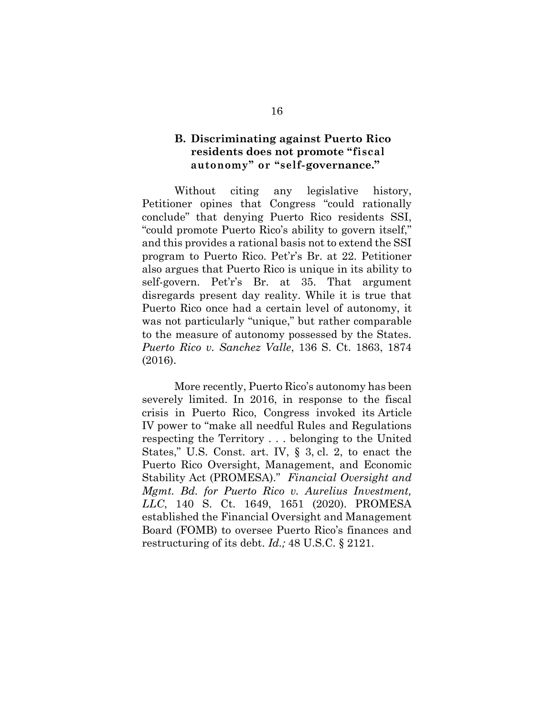### **B. Discriminating against Puerto Rico residents does not promote "fiscal autonomy" or "self-governance."**

Without citing any legislative history, Petitioner opines that Congress "could rationally conclude" that denying Puerto Rico residents SSI, "could promote Puerto Rico's ability to govern itself," and this provides a rational basis not to extend the SSI program to Puerto Rico. Pet'r's Br. at 22. Petitioner also argues that Puerto Rico is unique in its ability to self-govern. Pet'r's Br. at 35. That argument disregards present day reality. While it is true that Puerto Rico once had a certain level of autonomy, it was not particularly "unique," but rather comparable to the measure of autonomy possessed by the States. *Puerto Rico v. Sanchez Valle*, 136 S. Ct. 1863, 1874 (2016).

More recently, Puerto Rico's autonomy has been severely limited. In 2016, in response to the fiscal crisis in Puerto Rico, Congress invoked its Article IV power to "make all needful Rules and Regulations respecting the Territory . . . belonging to the United States," U.S. Const. art. IV, § 3, cl. 2, to enact the Puerto Rico Oversight, Management, and Economic Stability Act (PROMESA)." *Financial Oversight and Mgmt. Bd. for Puerto Rico v. Aurelius Investment, LLC*, 140 S. Ct. 1649, 1651 (2020). PROMESA established the Financial Oversight and Management Board (FOMB) to oversee Puerto Rico's finances and restructuring of its debt. *Id.;* 48 U.S.C. § 2121.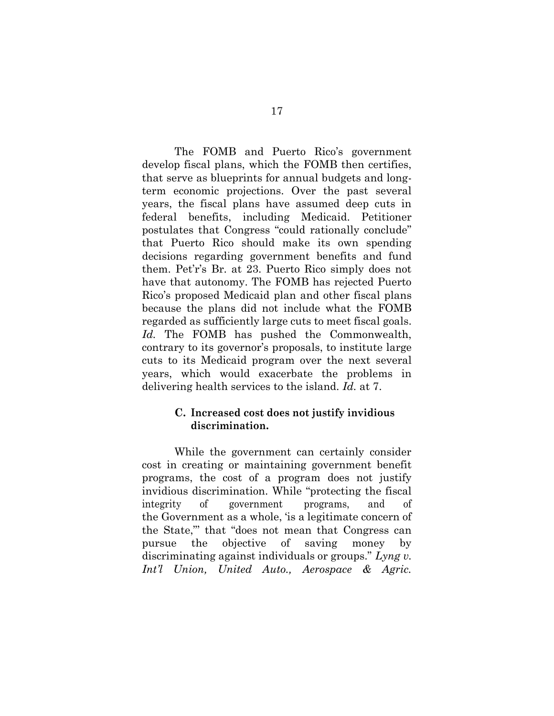The FOMB and Puerto Rico's government develop fiscal plans, which the FOMB then certifies, that serve as blueprints for annual budgets and longterm economic projections. Over the past several years, the fiscal plans have assumed deep cuts in federal benefits, including Medicaid. Petitioner postulates that Congress "could rationally conclude" that Puerto Rico should make its own spending decisions regarding government benefits and fund them. Pet'r's Br. at 23. Puerto Rico simply does not have that autonomy. The FOMB has rejected Puerto Rico's proposed Medicaid plan and other fiscal plans because the plans did not include what the FOMB regarded as sufficiently large cuts to meet fiscal goals. *Id.* The FOMB has pushed the Commonwealth, contrary to its governor's proposals, to institute large cuts to its Medicaid program over the next several years, which would exacerbate the problems in delivering health services to the island. *Id.* at 7.

#### **C. Increased cost does not justify invidious discrimination.**

While the government can certainly consider cost in creating or maintaining government benefit programs, the cost of a program does not justify invidious discrimination. While "protecting the fiscal integrity of government programs, and of the Government as a whole, 'is a legitimate concern of the State,"' that "does not mean that Congress can pursue the objective of saving money by discriminating against individuals or groups." *Lyng v. Int'l Union, United Auto., Aerospace & Agric.*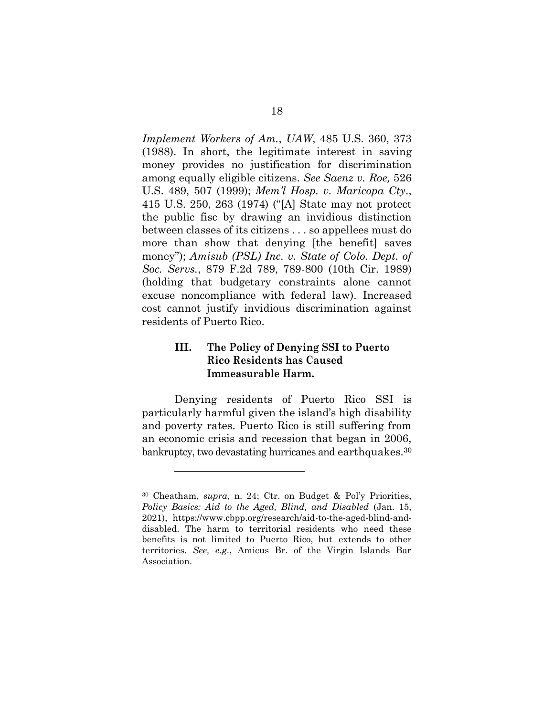*Implement Workers of Am.*, *UAW*, 485 U.S. 360, 373 (1988). In short, the legitimate interest in saving money provides no justification for discrimination among equally eligible citizens. *See Saenz v. Roe,* 526 U.S. 489, 507 (1999); *Mem'l Hosp. v. Maricopa Cty*., 415 U.S. 250, 263 (1974) ("[A] State may not protect the public fisc by drawing an invidious distinction between classes of its citizens . . . so appellees must do more than show that denying [the benefit] saves money"); *Amisub (PSL) Inc. v. State of Colo. Dept. of Soc. Servs.*, 879 F.2d 789, 789-800 (10th Cir. 1989) (holding that budgetary constraints alone cannot excuse noncompliance with federal law). Increased cost cannot justify invidious discrimination against residents of Puerto Rico.

### **III. The Policy of Denying SSI to Puerto Rico Residents has Caused Immeasurable Harm.**

Denying residents of Puerto Rico SSI is particularly harmful given the island's high disability and poverty rates. Puerto Rico is still suffering from an economic crisis and recession that began in 2006, bankruptcy, two devastating hurricanes and earthquakes.<sup>30</sup>

<sup>30</sup> Cheatham, *supra*, n. 24; Ctr. on Budget & Pol'y Priorities, *Policy Basics: Aid to the Aged, Blind, and Disabled* (Jan. 15, 2021), [https://www.cbpp.org/research/aid-to-the-aged-blind-and](https://www.cbpp.org/research/aid-to-the-aged-blind-and-disabled)[disabled.](https://www.cbpp.org/research/aid-to-the-aged-blind-and-disabled) The harm to territorial residents who need these benefits is not limited to Puerto Rico, but extends to other territories. *See, e.g*., Amicus Br. of the Virgin Islands Bar Association.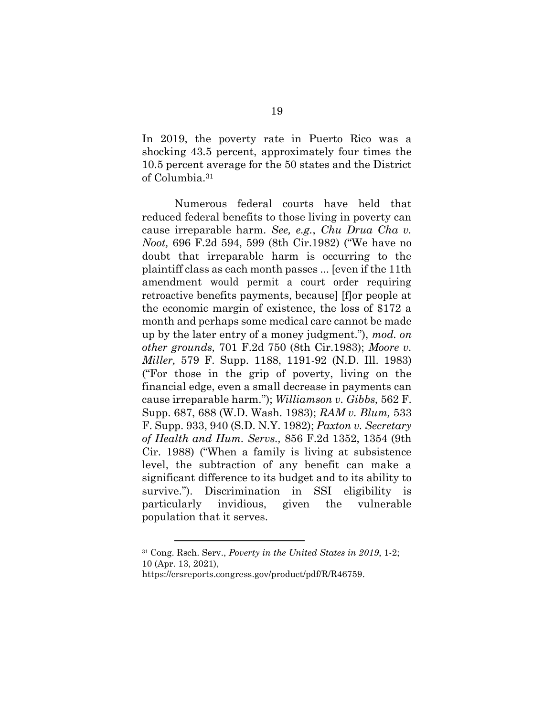In 2019, the poverty rate in Puerto Rico was a shocking 43.5 percent, approximately four times the 10.5 percent average for the 50 states and the District of Columbia.<sup>31</sup>

Numerous federal courts have held that reduced federal benefits to those living in poverty can cause irreparable harm. *See, e.g.*, *[Chu Drua Cha v.](https://1.next.westlaw.com/Link/Document/FullText?findType=Y&serNum=1982155452&pubNum=0000350&originatingDoc=I8d7c45b5970611d9bdd1cfdd544ca3a4&refType=RP&fi=co_pp_sp_350_599&originationContext=document&transitionType=DocumentItem&contextData=(sc.Search)#co_pp_sp_350_599)  Noot,* [696 F.2d 594, 599 \(8th Cir.1982\)](https://1.next.westlaw.com/Link/Document/FullText?findType=Y&serNum=1982155452&pubNum=0000350&originatingDoc=I8d7c45b5970611d9bdd1cfdd544ca3a4&refType=RP&fi=co_pp_sp_350_599&originationContext=document&transitionType=DocumentItem&contextData=(sc.Search)#co_pp_sp_350_599) ("We have no doubt that irreparable harm is occurring to the plaintiff class as each month passes ... [even if the 11th amendment would permit a court order requiring retroactive benefits payments, because] [f]or people at the economic margin of existence, the loss of \$172 a month and perhaps some medical care cannot be made up by the later entry of a money judgment."), *mod. on other grounds,* [701 F.2d 750 \(8th Cir.1983\);](https://1.next.westlaw.com/Link/Document/FullText?findType=Y&serNum=1983111658&pubNum=0000350&originatingDoc=I8d7c45b5970611d9bdd1cfdd544ca3a4&refType=RP&originationContext=document&transitionType=DocumentItem&contextData=(sc.Search)) *[Moore v.](https://1.next.westlaw.com/Link/Document/FullText?findType=Y&serNum=1984107448&pubNum=0000345&originatingDoc=I8d7c45b5970611d9bdd1cfdd544ca3a4&refType=RP&fi=co_pp_sp_345_1191&originationContext=document&transitionType=DocumentItem&contextData=(sc.Search)#co_pp_sp_345_1191)  Miller,* [579 F. Supp. 1188, 1191-92 \(N.D.](https://1.next.westlaw.com/Link/Document/FullText?findType=Y&serNum=1984107448&pubNum=0000345&originatingDoc=I8d7c45b5970611d9bdd1cfdd544ca3a4&refType=RP&fi=co_pp_sp_345_1191&originationContext=document&transitionType=DocumentItem&contextData=(sc.Search)#co_pp_sp_345_1191) Ill. 1983) ("For those in the grip of poverty, living on the financial edge, even a small decrease in payments can cause irreparable harm."); *[Williamson v. Gibbs,](https://1.next.westlaw.com/Link/Document/FullText?findType=Y&serNum=1983121252&pubNum=0000345&originatingDoc=I8d7c45b5970611d9bdd1cfdd544ca3a4&refType=RP&fi=co_pp_sp_345_688&originationContext=document&transitionType=DocumentItem&contextData=(sc.Search)#co_pp_sp_345_688)* 562 F. [Supp. 687, 688 \(W.D.](https://1.next.westlaw.com/Link/Document/FullText?findType=Y&serNum=1983121252&pubNum=0000345&originatingDoc=I8d7c45b5970611d9bdd1cfdd544ca3a4&refType=RP&fi=co_pp_sp_345_688&originationContext=document&transitionType=DocumentItem&contextData=(sc.Search)#co_pp_sp_345_688) Wash. 1983); *[RAM v. Blum,](https://1.next.westlaw.com/Link/Document/FullText?findType=Y&serNum=1982108626&pubNum=0000345&originatingDoc=I8d7c45b5970611d9bdd1cfdd544ca3a4&refType=RP&fi=co_pp_sp_345_940&originationContext=document&transitionType=DocumentItem&contextData=(sc.Search)#co_pp_sp_345_940)* 533 [F. Supp. 933, 940 \(S.D.](https://1.next.westlaw.com/Link/Document/FullText?findType=Y&serNum=1982108626&pubNum=0000345&originatingDoc=I8d7c45b5970611d9bdd1cfdd544ca3a4&refType=RP&fi=co_pp_sp_345_940&originationContext=document&transitionType=DocumentItem&contextData=(sc.Search)#co_pp_sp_345_940) N.Y. 1982); *[Paxton v. Secretary](https://1.next.westlaw.com/Link/Document/FullText?findType=Y&serNum=1988113791&pubNum=0000350&originatingDoc=I8d7c45b5970611d9bdd1cfdd544ca3a4&refType=RP&fi=co_pp_sp_350_1354&originationContext=document&transitionType=DocumentItem&contextData=(sc.Search)#co_pp_sp_350_1354)  of Health and Hum. Servs.,* [856 F.2d 1352, 1354 \(9th](https://1.next.westlaw.com/Link/Document/FullText?findType=Y&serNum=1988113791&pubNum=0000350&originatingDoc=I8d7c45b5970611d9bdd1cfdd544ca3a4&refType=RP&fi=co_pp_sp_350_1354&originationContext=document&transitionType=DocumentItem&contextData=(sc.Search)#co_pp_sp_350_1354)  Cir. [1988\)](https://1.next.westlaw.com/Link/Document/FullText?findType=Y&serNum=1988113791&pubNum=0000350&originatingDoc=I8d7c45b5970611d9bdd1cfdd544ca3a4&refType=RP&fi=co_pp_sp_350_1354&originationContext=document&transitionType=DocumentItem&contextData=(sc.Search)#co_pp_sp_350_1354) ("When a family is living at subsistence level, the subtraction of any benefit can make a significant difference to its budget and to its ability to survive."). Discrimination in SSI eligibility is particularly invidious, given the vulnerable population that it serves.

<sup>31</sup> Cong. Rsch. Serv., *Poverty in the United States in 2019*, 1-2; 10 (Apr. 13, 2021),

[https://crsreports.congress.gov/product/pdf/R/R46759.](https://nam12.safelinks.protection.outlook.com/?url=https%3A%2F%2Fcrsreports.congress.gov%2Fproduct%2Fpdf%2FR%2FR46759&data=04%7C01%7CBJones%40aarp.org%7C872aabc548054ee259fe08d91c9c8e10%7Ca395e38b4b754e4493499a37de460a33%7C0%7C0%7C637572282268588603%7CUnknown%7CTWFpbGZsb3d8eyJWIjoiMC4wLjAwMDAiLCJQIjoiV2luMzIiLCJBTiI6Ik1haWwiLCJXVCI6Mn0%3D%7C1000&sdata=9X1DOw5PFgjaj4d8IX6R3D%2BYBSgqg6n7R31TQeW%2BWv8%3D&reserved=0)